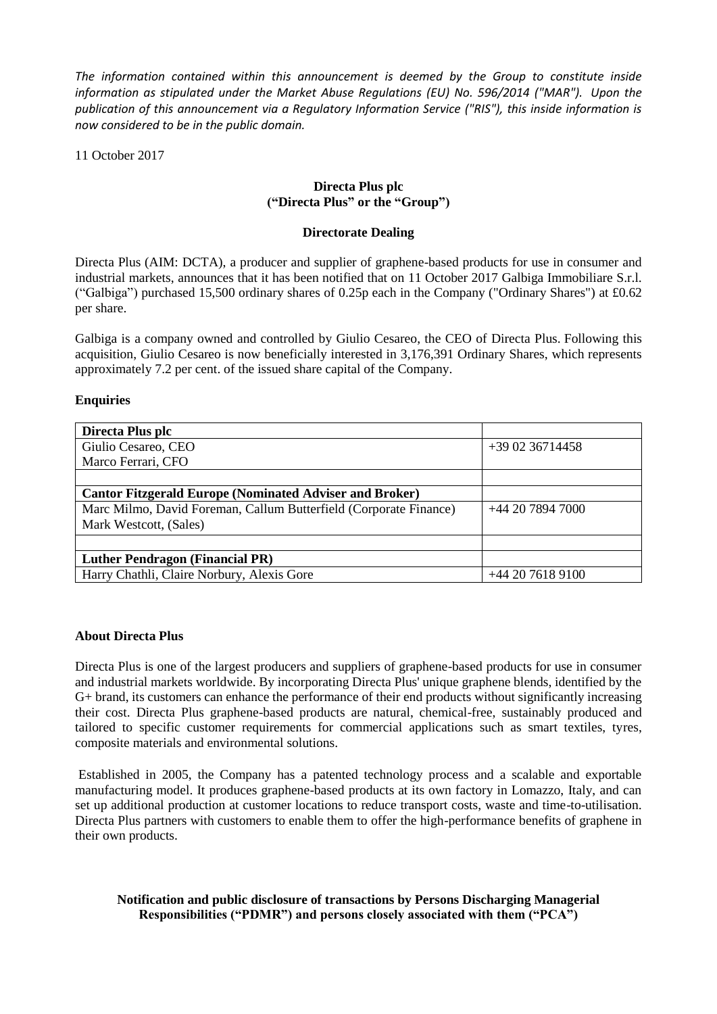*The information contained within this announcement is deemed by the Group to constitute inside information as stipulated under the Market Abuse Regulations (EU) No. 596/2014 ("MAR"). Upon the publication of this announcement via a Regulatory Information Service ("RIS"), this inside information is now considered to be in the public domain.*

11 October 2017

# **Directa Plus plc ("Directa Plus" or the "Group")**

### **Directorate Dealing**

Directa Plus (AIM: DCTA), a producer and supplier of graphene-based products for use in consumer and industrial markets, announces that it has been notified that on 11 October 2017 Galbiga Immobiliare S.r.l. ("Galbiga") purchased 15,500 ordinary shares of 0.25p each in the Company ("Ordinary Shares") at £0.62 per share.

Galbiga is a company owned and controlled by Giulio Cesareo, the CEO of Directa Plus. Following this acquisition, Giulio Cesareo is now beneficially interested in 3,176,391 Ordinary Shares, which represents approximately 7.2 per cent. of the issued share capital of the Company.

### **Enquiries**

| Directa Plus plc                                                  |                  |
|-------------------------------------------------------------------|------------------|
| Giulio Cesareo, CEO                                               | $+390236714458$  |
| Marco Ferrari, CFO                                                |                  |
|                                                                   |                  |
| <b>Cantor Fitzgerald Europe (Nominated Adviser and Broker)</b>    |                  |
| Marc Milmo, David Foreman, Callum Butterfield (Corporate Finance) | +44 20 7894 7000 |
| Mark Westcott, (Sales)                                            |                  |
|                                                                   |                  |
| <b>Luther Pendragon (Financial PR)</b>                            |                  |
| Harry Chathli, Claire Norbury, Alexis Gore                        | +44 20 7618 9100 |

### **About Directa Plus**

Directa Plus is one of the largest producers and suppliers of graphene-based products for use in consumer and industrial markets worldwide. By incorporating Directa Plus' unique graphene blends, identified by the G+ brand, its customers can enhance the performance of their end products without significantly increasing their cost. Directa Plus graphene-based products are natural, chemical-free, sustainably produced and tailored to specific customer requirements for commercial applications such as smart textiles, tyres, composite materials and environmental solutions.

Established in 2005, the Company has a patented technology process and a scalable and exportable manufacturing model. It produces graphene-based products at its own factory in Lomazzo, Italy, and can set up additional production at customer locations to reduce transport costs, waste and time-to-utilisation. Directa Plus partners with customers to enable them to offer the high-performance benefits of graphene in their own products.

## **Notification and public disclosure of transactions by Persons Discharging Managerial Responsibilities ("PDMR") and persons closely associated with them ("PCA")**